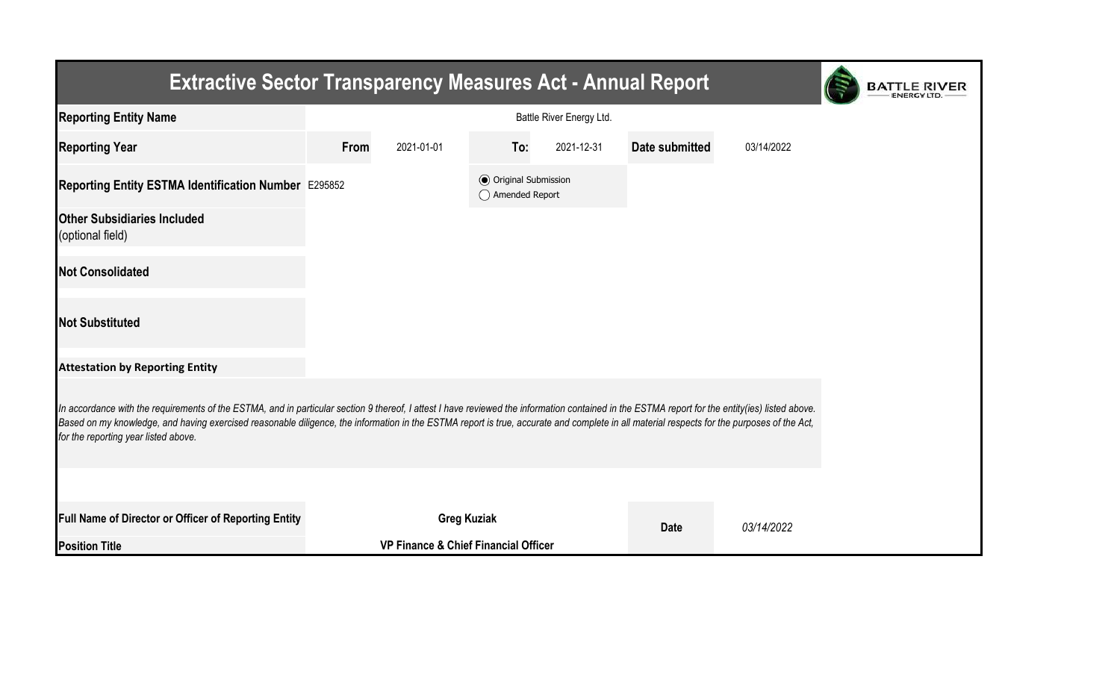| <b>Extractive Sector Transparency Measures Act - Annual Report</b>                                                                                                                                                                                                                                                                                                                                                                    | <b>BATTLE RIVER</b> |                                                 |                                                  |            |                |            |  |  |  |  |  |
|---------------------------------------------------------------------------------------------------------------------------------------------------------------------------------------------------------------------------------------------------------------------------------------------------------------------------------------------------------------------------------------------------------------------------------------|---------------------|-------------------------------------------------|--------------------------------------------------|------------|----------------|------------|--|--|--|--|--|
| <b>Reporting Entity Name</b>                                                                                                                                                                                                                                                                                                                                                                                                          |                     |                                                 |                                                  |            |                |            |  |  |  |  |  |
| <b>Reporting Year</b>                                                                                                                                                                                                                                                                                                                                                                                                                 | From                | 2021-01-01                                      | To:                                              | 2021-12-31 | Date submitted | 03/14/2022 |  |  |  |  |  |
| Reporting Entity ESTMA Identification Number E295852                                                                                                                                                                                                                                                                                                                                                                                  |                     |                                                 | <b>◎</b> Original Submission<br>◯ Amended Report |            |                |            |  |  |  |  |  |
| <b>Other Subsidiaries Included</b><br>(optional field)                                                                                                                                                                                                                                                                                                                                                                                |                     |                                                 |                                                  |            |                |            |  |  |  |  |  |
| <b>Not Consolidated</b>                                                                                                                                                                                                                                                                                                                                                                                                               |                     |                                                 |                                                  |            |                |            |  |  |  |  |  |
| <b>Not Substituted</b>                                                                                                                                                                                                                                                                                                                                                                                                                |                     |                                                 |                                                  |            |                |            |  |  |  |  |  |
| <b>Attestation by Reporting Entity</b>                                                                                                                                                                                                                                                                                                                                                                                                |                     |                                                 |                                                  |            |                |            |  |  |  |  |  |
| In accordance with the requirements of the ESTMA, and in particular section 9 thereof, I attest I have reviewed the information contained in the ESTMA report for the entity(ies) listed above.<br>Based on my knowledge, and having exercised reasonable diligence, the information in the ESTMA report is true, accurate and complete in all material respects for the purposes of the Act,<br>for the reporting year listed above. |                     |                                                 |                                                  |            |                |            |  |  |  |  |  |
|                                                                                                                                                                                                                                                                                                                                                                                                                                       |                     |                                                 |                                                  |            |                |            |  |  |  |  |  |
| Full Name of Director or Officer of Reporting Entity                                                                                                                                                                                                                                                                                                                                                                                  |                     | <b>Greg Kuziak</b>                              |                                                  |            | <b>Date</b>    | 03/14/2022 |  |  |  |  |  |
| <b>Position Title</b>                                                                                                                                                                                                                                                                                                                                                                                                                 |                     | <b>VP Finance &amp; Chief Financial Officer</b> |                                                  |            |                |            |  |  |  |  |  |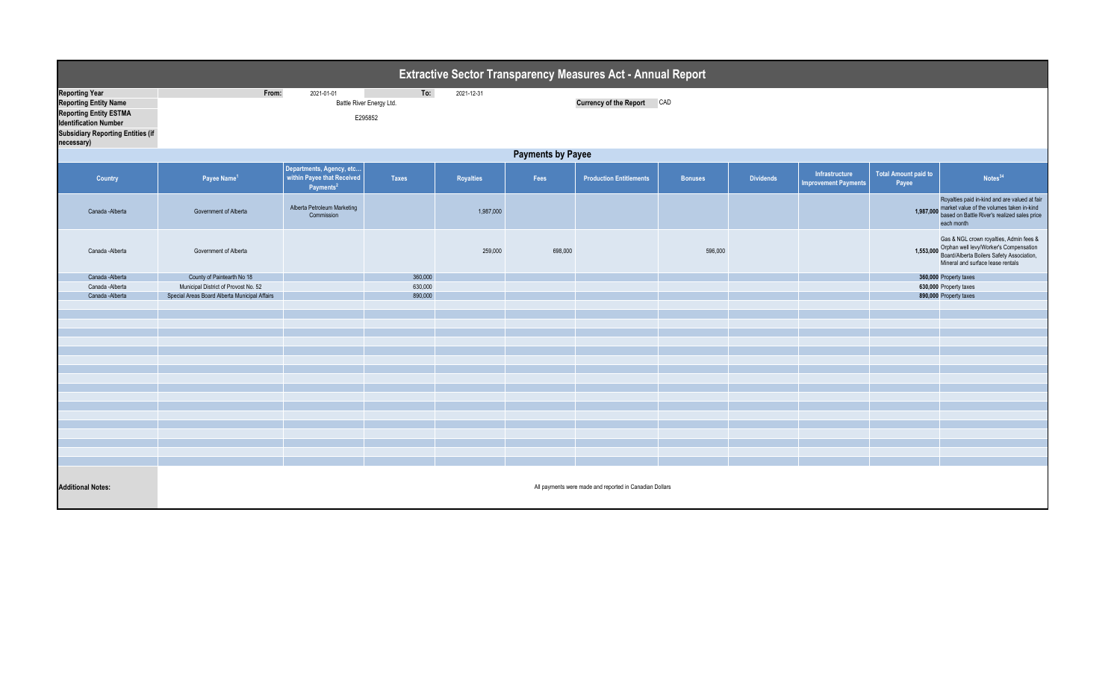|                                                                                                                                                                                  | Extractive Sector Transparency Measures Act - Annual Report                                                   |                                                                                 |         |           |         |                                |                |                  |                                               |                                      |                                                                                                                                                                               |  |  |
|----------------------------------------------------------------------------------------------------------------------------------------------------------------------------------|---------------------------------------------------------------------------------------------------------------|---------------------------------------------------------------------------------|---------|-----------|---------|--------------------------------|----------------|------------------|-----------------------------------------------|--------------------------------------|-------------------------------------------------------------------------------------------------------------------------------------------------------------------------------|--|--|
| <b>Reporting Year</b><br><b>Reporting Entity Name</b><br><b>Reporting Entity ESTMA</b><br><b>Identification Number</b><br><b>Subsidiary Reporting Entities (if</b><br>necessary) | 2021-01-01<br>To:<br>From:<br>2021-12-31<br>Battle River Energy Ltd.<br>Currency of the Report CAD<br>E295852 |                                                                                 |         |           |         |                                |                |                  |                                               |                                      |                                                                                                                                                                               |  |  |
|                                                                                                                                                                                  | <b>Payments by Payee</b>                                                                                      |                                                                                 |         |           |         |                                |                |                  |                                               |                                      |                                                                                                                                                                               |  |  |
| Country                                                                                                                                                                          | Payee Name <sup>1</sup>                                                                                       | Departments, Agency, etc<br>within Payee that Received<br>Payments <sup>2</sup> | Taxes   | Royalties | Fees    | <b>Production Entitlements</b> | <b>Bonuses</b> | <b>Dividends</b> | Infrastructure<br><b>Improvement Payments</b> | <b>Total Amount paid to</b><br>Payee | Notes <sup>34</sup>                                                                                                                                                           |  |  |
| Canada - Alberta                                                                                                                                                                 | Government of Alberta                                                                                         | Alberta Petroleum Marketing<br>Commission                                       |         | 1,987,000 |         |                                |                |                  |                                               |                                      | Royalties paid in-kind and are valued at fair<br>1,987,000 market value of the volumes taken in-kind<br>based on Battle River's realized sales price<br>each month            |  |  |
| Canada -Alberta                                                                                                                                                                  | Government of Alberta                                                                                         |                                                                                 |         | 259,000   | 698,000 |                                | 596,000        |                  |                                               |                                      | Gas & NGL crown royalties, Admin fees &<br>1,553,000 Orphan well levy/Worker's Compensation<br>Board/Alberta Boilers Safety Association,<br>Mineral and surface lease rentals |  |  |
| Canada - Alberta                                                                                                                                                                 | County of Paintearth No 18                                                                                    |                                                                                 | 360,000 |           |         |                                |                |                  |                                               |                                      | 360,000 Property taxes                                                                                                                                                        |  |  |
| Canada -Alberta                                                                                                                                                                  | Municipal District of Provost No. 52                                                                          |                                                                                 | 630,000 |           |         |                                |                |                  |                                               | 630,000 Property taxes               |                                                                                                                                                                               |  |  |
| Canada -Alberta                                                                                                                                                                  | Special Areas Board Alberta Municipal Affairs                                                                 |                                                                                 | 890,000 |           |         |                                |                |                  |                                               |                                      | 890,000 Property taxes                                                                                                                                                        |  |  |
|                                                                                                                                                                                  |                                                                                                               |                                                                                 |         |           |         |                                |                |                  |                                               |                                      |                                                                                                                                                                               |  |  |
|                                                                                                                                                                                  |                                                                                                               |                                                                                 |         |           |         |                                |                |                  |                                               |                                      |                                                                                                                                                                               |  |  |
|                                                                                                                                                                                  |                                                                                                               |                                                                                 |         |           |         |                                |                |                  |                                               |                                      |                                                                                                                                                                               |  |  |
|                                                                                                                                                                                  |                                                                                                               |                                                                                 |         |           |         |                                |                |                  |                                               |                                      |                                                                                                                                                                               |  |  |
|                                                                                                                                                                                  |                                                                                                               |                                                                                 |         |           |         |                                |                |                  |                                               |                                      |                                                                                                                                                                               |  |  |
|                                                                                                                                                                                  |                                                                                                               |                                                                                 |         |           |         |                                |                |                  |                                               |                                      |                                                                                                                                                                               |  |  |
|                                                                                                                                                                                  |                                                                                                               |                                                                                 |         |           |         |                                |                |                  |                                               |                                      |                                                                                                                                                                               |  |  |
|                                                                                                                                                                                  |                                                                                                               |                                                                                 |         |           |         |                                |                |                  |                                               |                                      |                                                                                                                                                                               |  |  |
|                                                                                                                                                                                  |                                                                                                               |                                                                                 |         |           |         |                                |                |                  |                                               |                                      |                                                                                                                                                                               |  |  |
|                                                                                                                                                                                  |                                                                                                               |                                                                                 |         |           |         |                                |                |                  |                                               |                                      |                                                                                                                                                                               |  |  |
|                                                                                                                                                                                  |                                                                                                               |                                                                                 |         |           |         |                                |                |                  |                                               |                                      |                                                                                                                                                                               |  |  |
|                                                                                                                                                                                  |                                                                                                               |                                                                                 |         |           |         |                                |                |                  |                                               |                                      |                                                                                                                                                                               |  |  |
|                                                                                                                                                                                  |                                                                                                               |                                                                                 |         |           |         |                                |                |                  |                                               |                                      |                                                                                                                                                                               |  |  |
|                                                                                                                                                                                  |                                                                                                               |                                                                                 |         |           |         |                                |                |                  |                                               |                                      |                                                                                                                                                                               |  |  |
|                                                                                                                                                                                  |                                                                                                               |                                                                                 |         |           |         |                                |                |                  |                                               |                                      |                                                                                                                                                                               |  |  |
|                                                                                                                                                                                  |                                                                                                               |                                                                                 |         |           |         |                                |                |                  |                                               |                                      |                                                                                                                                                                               |  |  |
| <b>Additional Notes:</b>                                                                                                                                                         | All payments were made and reported in Canadian Dollars                                                       |                                                                                 |         |           |         |                                |                |                  |                                               |                                      |                                                                                                                                                                               |  |  |